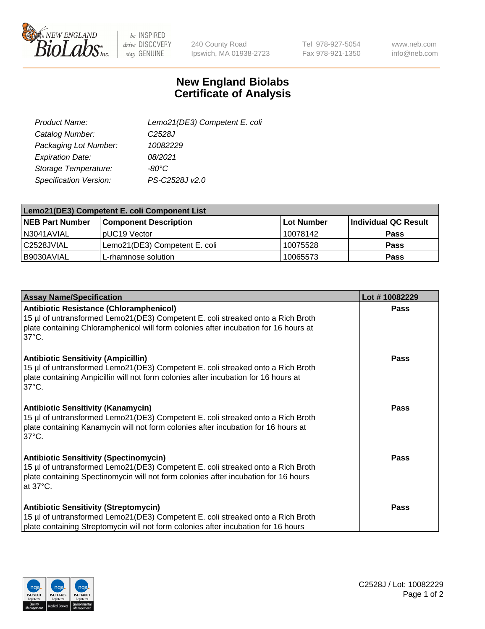

 $be$  INSPIRED drive DISCOVERY stay GENUINE

240 County Road Ipswich, MA 01938-2723 Tel 978-927-5054 Fax 978-921-1350

www.neb.com info@neb.com

## **New England Biolabs Certificate of Analysis**

| Lemo21(DE3) Competent E. coli |
|-------------------------------|
| C <sub>2528</sub> J           |
| 10082229                      |
| 08/2021                       |
| $-80^{\circ}$ C               |
| PS-C2528J v2.0                |
|                               |

| Lemo21(DE3) Competent E. coli Component List |                               |                   |                             |  |
|----------------------------------------------|-------------------------------|-------------------|-----------------------------|--|
| <b>NEB Part Number</b>                       | <b>Component Description</b>  | <b>Lot Number</b> | <b>Individual QC Result</b> |  |
| I N3041AVIAL                                 | IpUC19 Vector                 | 10078142          | Pass                        |  |
| C2528JVIAL                                   | Lemo21(DE3) Competent E. coli | 10075528          | <b>Pass</b>                 |  |
| B9030AVIAL                                   | L-rhamnose solution           | 10065573          | <b>Pass</b>                 |  |

| <b>Assay Name/Specification</b>                                                                                                                                                                                                              | Lot #10082229 |
|----------------------------------------------------------------------------------------------------------------------------------------------------------------------------------------------------------------------------------------------|---------------|
| <b>Antibiotic Resistance (Chloramphenicol)</b><br>15 µl of untransformed Lemo21(DE3) Competent E. coli streaked onto a Rich Broth<br>plate containing Chloramphenicol will form colonies after incubation for 16 hours at<br>$37^{\circ}$ C. | Pass          |
| <b>Antibiotic Sensitivity (Ampicillin)</b><br>15 µl of untransformed Lemo21(DE3) Competent E. coli streaked onto a Rich Broth<br>plate containing Ampicillin will not form colonies after incubation for 16 hours at<br>$37^{\circ}$ C.      | Pass          |
| <b>Antibiotic Sensitivity (Kanamycin)</b><br>15 µl of untransformed Lemo21(DE3) Competent E. coli streaked onto a Rich Broth<br>plate containing Kanamycin will not form colonies after incubation for 16 hours at<br>$37^{\circ}$ C.        | <b>Pass</b>   |
| <b>Antibiotic Sensitivity (Spectinomycin)</b><br>15 µl of untransformed Lemo21(DE3) Competent E. coli streaked onto a Rich Broth<br>plate containing Spectinomycin will not form colonies after incubation for 16 hours<br>at 37°C.          | Pass          |
| <b>Antibiotic Sensitivity (Streptomycin)</b><br>15 µl of untransformed Lemo21(DE3) Competent E. coli streaked onto a Rich Broth<br>plate containing Streptomycin will not form colonies after incubation for 16 hours                        | <b>Pass</b>   |